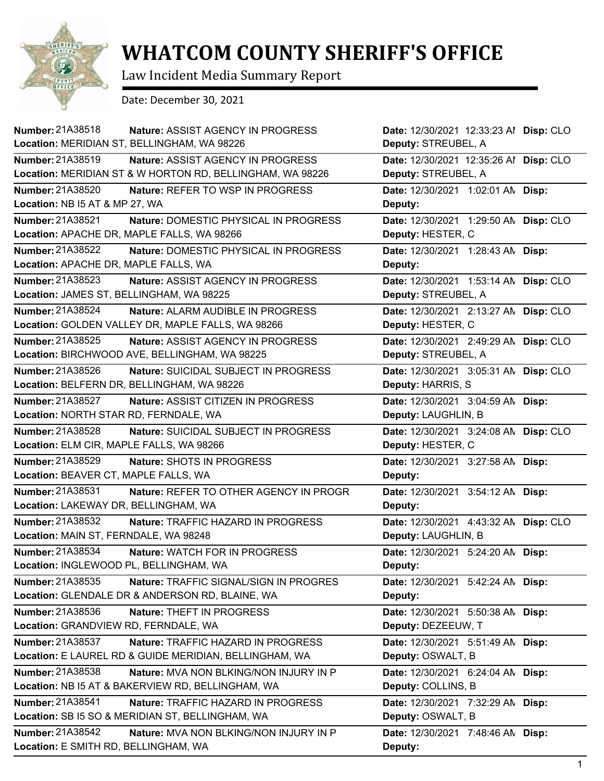

## **WHATCOM COUNTY SHERIFF'S OFFICE**

Law Incident Media Summary Report

Date: December 30, 2021

| <b>Number: 21A38518</b>                     | Nature: ASSIST AGENCY IN PROGRESS                         | Date: 12/30/2021 12:33:23 Al Disp: CLO |  |
|---------------------------------------------|-----------------------------------------------------------|----------------------------------------|--|
| Location: MERIDIAN ST, BELLINGHAM, WA 98226 |                                                           | Deputy: STREUBEL, A                    |  |
| Number: 21A38519                            | Nature: ASSIST AGENCY IN PROGRESS                         | Date: 12/30/2021 12:35:26 Al Disp: CLO |  |
|                                             | Location: MERIDIAN ST & W HORTON RD, BELLINGHAM, WA 98226 | Deputy: STREUBEL, A                    |  |
| <b>Number: 21A38520</b>                     | Nature: REFER TO WSP IN PROGRESS                          | Date: 12/30/2021 1:02:01 AN Disp:      |  |
| Location: NB I5 AT & MP 27, WA              |                                                           | Deputy:                                |  |
| Number: 21A38521                            | Nature: DOMESTIC PHYSICAL IN PROGRESS                     | Date: 12/30/2021 1:29:50 AN Disp: CLO  |  |
| Location: APACHE DR, MAPLE FALLS, WA 98266  |                                                           | Deputy: HESTER, C                      |  |
| Number: 21A38522                            | Nature: DOMESTIC PHYSICAL IN PROGRESS                     | Date: 12/30/2021 1:28:43 AN Disp:      |  |
| Location: APACHE DR, MAPLE FALLS, WA        |                                                           | Deputy:                                |  |
| Number: 21A38523                            | Nature: ASSIST AGENCY IN PROGRESS                         | Date: 12/30/2021 1:53:14 AN Disp: CLO  |  |
| Location: JAMES ST, BELLINGHAM, WA 98225    |                                                           | Deputy: STREUBEL, A                    |  |
| Number: 21A38524                            | Nature: ALARM AUDIBLE IN PROGRESS                         | Date: 12/30/2021 2:13:27 AN Disp: CLO  |  |
|                                             | Location: GOLDEN VALLEY DR, MAPLE FALLS, WA 98266         | Deputy: HESTER, C                      |  |
| Number: 21A38525                            | <b>Nature: ASSIST AGENCY IN PROGRESS</b>                  | Date: 12/30/2021 2:49:29 AN Disp: CLO  |  |
|                                             | Location: BIRCHWOOD AVE, BELLINGHAM, WA 98225             | Deputy: STREUBEL, A                    |  |
| Number: 21A38526                            | <b>Nature: SUICIDAL SUBJECT IN PROGRESS</b>               | Date: 12/30/2021 3:05:31 AN Disp: CLO  |  |
| Location: BELFERN DR, BELLINGHAM, WA 98226  |                                                           | Deputy: HARRIS, S                      |  |
| <b>Number: 21A38527</b>                     | Nature: ASSIST CITIZEN IN PROGRESS                        | Date: 12/30/2021 3:04:59 AN Disp:      |  |
| Location: NORTH STAR RD, FERNDALE, WA       |                                                           | Deputy: LAUGHLIN, B                    |  |
| Number: 21A38528                            | Nature: SUICIDAL SUBJECT IN PROGRESS                      | Date: 12/30/2021 3:24:08 AN Disp: CLO  |  |
| Location: ELM CIR, MAPLE FALLS, WA 98266    |                                                           | Deputy: HESTER, C                      |  |
| <b>Number: 21A38529</b>                     | Nature: SHOTS IN PROGRESS                                 | Date: 12/30/2021 3:27:58 AN Disp:      |  |
| Location: BEAVER CT, MAPLE FALLS, WA        |                                                           | Deputy:                                |  |
| Number: 21A38531                            | Nature: REFER TO OTHER AGENCY IN PROGR                    | Date: 12/30/2021 3:54:12 AN Disp:      |  |
| Location: LAKEWAY DR, BELLINGHAM, WA        |                                                           | Deputy:                                |  |
| Number: 21A38532                            | Nature: TRAFFIC HAZARD IN PROGRESS                        | Date: 12/30/2021 4:43:32 AN Disp: CLO  |  |
| Location: MAIN ST, FERNDALE, WA 98248       |                                                           | Deputy: LAUGHLIN, B                    |  |
| Number: 21A38534                            | Nature: WATCH FOR IN PROGRESS                             | Date: 12/30/2021 5:24:20 AM Disp:      |  |
| Location: INGLEWOOD PL, BELLINGHAM, WA      |                                                           | Deputy:                                |  |
| Number: 21A38535                            | Nature: TRAFFIC SIGNAL/SIGN IN PROGRES                    | Date: 12/30/2021 5:42:24 AN Disp:      |  |
|                                             | Location: GLENDALE DR & ANDERSON RD, BLAINE, WA           | Deputy:                                |  |
| Number: 21A38536                            | Nature: THEFT IN PROGRESS                                 | Date: 12/30/2021 5:50:38 AN Disp:      |  |
| Location: GRANDVIEW RD, FERNDALE, WA        |                                                           | Deputy: DEZEEUW, T                     |  |
| Number: 21A38537                            | Nature: TRAFFIC HAZARD IN PROGRESS                        | Date: 12/30/2021 5:51:49 AN Disp:      |  |
|                                             | Location: E LAUREL RD & GUIDE MERIDIAN, BELLINGHAM, WA    | Deputy: OSWALT, B                      |  |
| Number: 21A38538                            | Nature: MVA NON BLKING/NON INJURY IN P                    | Date: 12/30/2021 6:24:04 AN Disp:      |  |
|                                             | Location: NB I5 AT & BAKERVIEW RD, BELLINGHAM, WA         | Deputy: COLLINS, B                     |  |
| Number: 21A38541                            | Nature: TRAFFIC HAZARD IN PROGRESS                        | Date: 12/30/2021 7:32:29 AN Disp:      |  |
|                                             | Location: SB I5 SO & MERIDIAN ST, BELLINGHAM, WA          | Deputy: OSWALT, B                      |  |
| Number: 21A38542                            | Nature: MVA NON BLKING/NON INJURY IN P                    | Date: 12/30/2021 7:48:46 AN Disp:      |  |
| Location: E SMITH RD, BELLINGHAM, WA        |                                                           | Deputy:                                |  |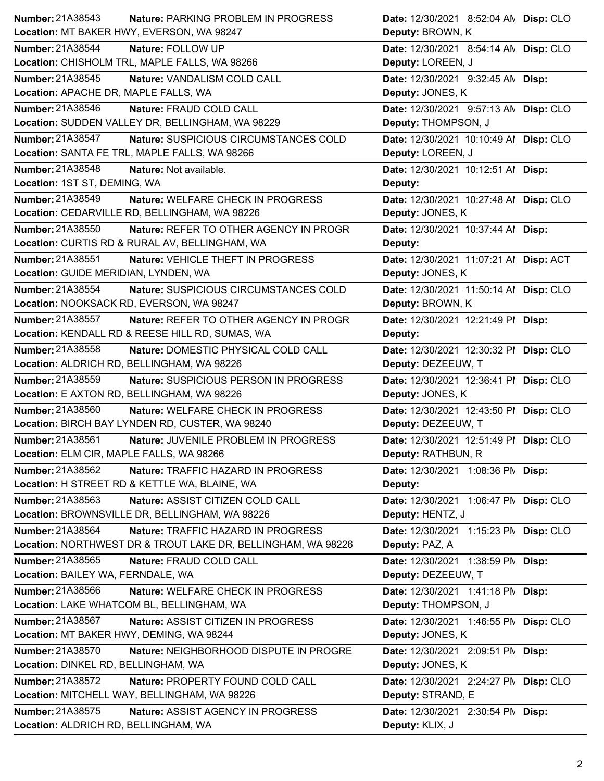| Number: 21A38543<br>Nature: PARKING PROBLEM IN PROGRESS          | Date: 12/30/2021 8:52:04 AN Disp: CLO  |
|------------------------------------------------------------------|----------------------------------------|
| Location: MT BAKER HWY, EVERSON, WA 98247                        | Deputy: BROWN, K                       |
| Number: 21A38544<br>Nature: FOLLOW UP                            | Date: 12/30/2021 8:54:14 AN Disp: CLO  |
| Location: CHISHOLM TRL, MAPLE FALLS, WA 98266                    | Deputy: LOREEN, J                      |
| Number: 21A38545<br>Nature: VANDALISM COLD CALL                  | Date: 12/30/2021 9:32:45 AN Disp:      |
| Location: APACHE DR, MAPLE FALLS, WA                             | Deputy: JONES, K                       |
| Number: 21A38546<br>Nature: FRAUD COLD CALL                      | Date: 12/30/2021 9:57:13 AN Disp: CLO  |
| Location: SUDDEN VALLEY DR, BELLINGHAM, WA 98229                 | Deputy: THOMPSON, J                    |
| Number: 21A38547<br>Nature: SUSPICIOUS CIRCUMSTANCES COLD        | Date: 12/30/2021 10:10:49 Al Disp: CLO |
| Location: SANTA FE TRL, MAPLE FALLS, WA 98266                    | Deputy: LOREEN, J                      |
| Number: 21A38548<br>Nature: Not available.                       | Date: 12/30/2021 10:12:51 Al Disp:     |
| Location: 1ST ST, DEMING, WA                                     | Deputy:                                |
| Number: 21A38549<br>Nature: WELFARE CHECK IN PROGRESS            | Date: 12/30/2021 10:27:48 Al Disp: CLO |
| Location: CEDARVILLE RD, BELLINGHAM, WA 98226                    | Deputy: JONES, K                       |
| Number: 21A38550<br>Nature: REFER TO OTHER AGENCY IN PROGR       | Date: 12/30/2021 10:37:44 Al Disp:     |
| Location: CURTIS RD & RURAL AV, BELLINGHAM, WA                   | Deputy:                                |
| <b>Number: 21A38551</b><br>Nature: VEHICLE THEFT IN PROGRESS     | Date: 12/30/2021 11:07:21 Al Disp: ACT |
| Location: GUIDE MERIDIAN, LYNDEN, WA                             | Deputy: JONES, K                       |
| Number: 21A38554<br>Nature: SUSPICIOUS CIRCUMSTANCES COLD        | Date: 12/30/2021 11:50:14 Al Disp: CLO |
| Location: NOOKSACK RD, EVERSON, WA 98247                         | Deputy: BROWN, K                       |
| Number: 21A38557<br>Nature: REFER TO OTHER AGENCY IN PROGR       | Date: 12/30/2021 12:21:49 PI Disp:     |
| Location: KENDALL RD & REESE HILL RD, SUMAS, WA                  | Deputy:                                |
| Number: 21A38558<br>Nature: DOMESTIC PHYSICAL COLD CALL          | Date: 12/30/2021 12:30:32 PI Disp: CLO |
| Location: ALDRICH RD, BELLINGHAM, WA 98226                       | Deputy: DEZEEUW, T                     |
|                                                                  |                                        |
| <b>Number: 21A38559</b><br>Nature: SUSPICIOUS PERSON IN PROGRESS | Date: 12/30/2021 12:36:41 PI Disp: CLO |
| Location: E AXTON RD, BELLINGHAM, WA 98226                       | Deputy: JONES, K                       |
| Number: 21A38560<br>Nature: WELFARE CHECK IN PROGRESS            | Date: 12/30/2021 12:43:50 PI Disp: CLO |
| Location: BIRCH BAY LYNDEN RD, CUSTER, WA 98240                  | Deputy: DEZEEUW, T                     |
| Number: 21A38561<br>Nature: JUVENILE PROBLEM IN PROGRESS         | Date: 12/30/2021 12:51:49 PI Disp: CLO |
| Location: ELM CIR, MAPLE FALLS, WA 98266                         | Deputy: RATHBUN, R                     |
| Number: 21A38562<br>Nature: TRAFFIC HAZARD IN PROGRESS           | Date: 12/30/2021 1:08:36 PM Disp:      |
| Location: H STREET RD & KETTLE WA, BLAINE, WA                    | Deputy:                                |
| Number: 21A38563<br>Nature: ASSIST CITIZEN COLD CALL             | Date: 12/30/2021 1:06:47 PM Disp: CLO  |
| Location: BROWNSVILLE DR, BELLINGHAM, WA 98226                   | Deputy: HENTZ, J                       |
| Number: 21A38564<br>Nature: TRAFFIC HAZARD IN PROGRESS           | Date: 12/30/2021 1:15:23 PN Disp: CLO  |
| Location: NORTHWEST DR & TROUT LAKE DR, BELLINGHAM, WA 98226     | Deputy: PAZ, A                         |
| Number: 21A38565<br>Nature: FRAUD COLD CALL                      | Date: 12/30/2021 1:38:59 PM Disp:      |
| Location: BAILEY WA, FERNDALE, WA                                | Deputy: DEZEEUW, T                     |
| Number: 21A38566<br>Nature: WELFARE CHECK IN PROGRESS            | Date: 12/30/2021 1:41:18 PM Disp:      |
| Location: LAKE WHATCOM BL, BELLINGHAM, WA                        | Deputy: THOMPSON, J                    |
| Number: 21A38567<br>Nature: ASSIST CITIZEN IN PROGRESS           | Date: 12/30/2021 1:46:55 PN Disp: CLO  |
| Location: MT BAKER HWY, DEMING, WA 98244                         | Deputy: JONES, K                       |
| Number: 21A38570<br>Nature: NEIGHBORHOOD DISPUTE IN PROGRE       | Date: 12/30/2021 2:09:51 PM Disp:      |
| Location: DINKEL RD, BELLINGHAM, WA                              | Deputy: JONES, K                       |
| Number: 21A38572<br>Nature: PROPERTY FOUND COLD CALL             | Date: 12/30/2021 2:24:27 PM Disp: CLO  |
| Location: MITCHELL WAY, BELLINGHAM, WA 98226                     | Deputy: STRAND, E                      |
| Number: 21A38575<br>Nature: ASSIST AGENCY IN PROGRESS            | Date: 12/30/2021 2:30:54 PM Disp:      |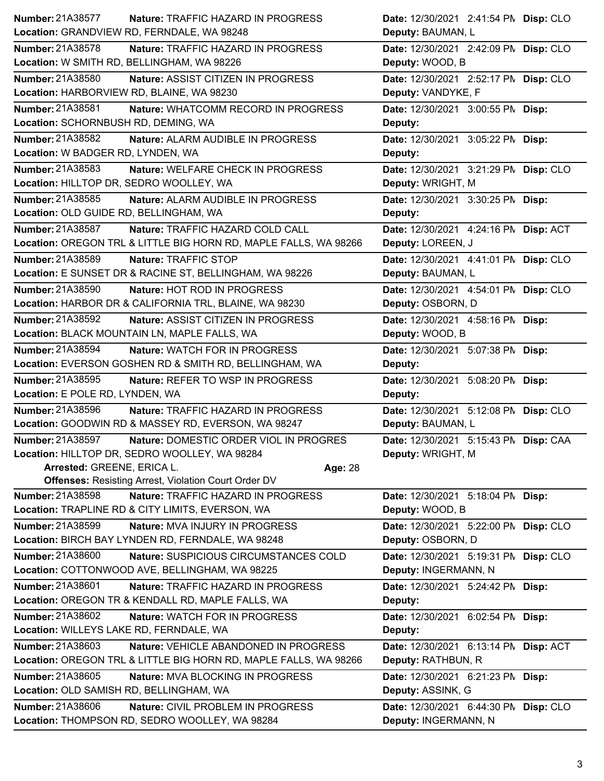| <b>Number: 21A38577</b><br>Nature: TRAFFIC HAZARD IN PROGRESS                                           | Date: 12/30/2021 2:41:54 PM Disp: CLO                         |
|---------------------------------------------------------------------------------------------------------|---------------------------------------------------------------|
| Location: GRANDVIEW RD, FERNDALE, WA 98248                                                              | Deputy: BAUMAN, L                                             |
| <b>Number: 21A38578</b><br>Nature: TRAFFIC HAZARD IN PROGRESS                                           | Date: 12/30/2021 2:42:09 PM Disp: CLO                         |
| Location: W SMITH RD, BELLINGHAM, WA 98226                                                              | Deputy: WOOD, B                                               |
| <b>Number: 21A38580</b><br>Nature: ASSIST CITIZEN IN PROGRESS                                           | Date: 12/30/2021 2:52:17 PM Disp: CLO                         |
| Location: HARBORVIEW RD, BLAINE, WA 98230                                                               | Deputy: VANDYKE, F                                            |
| Number: 21A38581<br>Nature: WHATCOMM RECORD IN PROGRESS                                                 | Date: 12/30/2021 3:00:55 PM Disp:                             |
| Location: SCHORNBUSH RD, DEMING, WA                                                                     | Deputy:                                                       |
| Number: 21A38582<br>Nature: ALARM AUDIBLE IN PROGRESS                                                   | Date: 12/30/2021 3:05:22 PM Disp:                             |
| Location: W BADGER RD, LYNDEN, WA                                                                       | Deputy:                                                       |
| Number: 21A38583<br>Nature: WELFARE CHECK IN PROGRESS                                                   | Date: 12/30/2021 3:21:29 PM Disp: CLO                         |
| Location: HILLTOP DR, SEDRO WOOLLEY, WA                                                                 | Deputy: WRIGHT, M                                             |
| Number: 21A38585<br>Nature: ALARM AUDIBLE IN PROGRESS                                                   | Date: 12/30/2021 3:30:25 PM Disp:                             |
| Location: OLD GUIDE RD, BELLINGHAM, WA                                                                  | Deputy:                                                       |
| Number: 21A38587<br>Nature: TRAFFIC HAZARD COLD CALL                                                    | Date: 12/30/2021 4:24:16 PN Disp: ACT                         |
| Location: OREGON TRL & LITTLE BIG HORN RD, MAPLE FALLS, WA 98266                                        | Deputy: LOREEN, J                                             |
| Number: 21A38589<br>Nature: TRAFFIC STOP                                                                | Date: 12/30/2021 4:41:01 PN Disp: CLO                         |
| Location: E SUNSET DR & RACINE ST, BELLINGHAM, WA 98226                                                 | Deputy: BAUMAN, L                                             |
| Number: 21A38590<br>Nature: HOT ROD IN PROGRESS                                                         | Date: 12/30/2021 4:54:01 PM Disp: CLO                         |
| Location: HARBOR DR & CALIFORNIA TRL, BLAINE, WA 98230                                                  | Deputy: OSBORN, D                                             |
| <b>Number: 21A38592</b><br><b>Nature: ASSIST CITIZEN IN PROGRESS</b>                                    | Date: 12/30/2021 4:58:16 PM Disp:                             |
| Location: BLACK MOUNTAIN LN, MAPLE FALLS, WA                                                            | Deputy: WOOD, B                                               |
| Number: 21A38594<br><b>Nature: WATCH FOR IN PROGRESS</b>                                                | Date: 12/30/2021 5:07:38 PM Disp:                             |
| Location: EVERSON GOSHEN RD & SMITH RD, BELLINGHAM, WA                                                  | Deputy:                                                       |
| Number: 21A38595<br>Nature: REFER TO WSP IN PROGRESS                                                    | Date: 12/30/2021 5:08:20 PM Disp:                             |
| Location: E POLE RD, LYNDEN, WA                                                                         | Deputy:                                                       |
|                                                                                                         |                                                               |
| Number: 21A38596<br>Nature: TRAFFIC HAZARD IN PROGRESS                                                  | Date: 12/30/2021 5:12:08 PN Disp: CLO                         |
| Location: GOODWIN RD & MASSEY RD, EVERSON, WA 98247                                                     | Deputy: BAUMAN, L                                             |
| Number: 21A38597<br>Nature: DOMESTIC ORDER VIOL IN PROGRES                                              | Date: 12/30/2021 5:15:43 PN Disp: CAA                         |
| Location: HILLTOP DR, SEDRO WOOLLEY, WA 98284                                                           | Deputy: WRIGHT, M                                             |
| Arrested: GREENE, ERICA L.<br>Age: 28                                                                   |                                                               |
| <b>Offenses: Resisting Arrest, Violation Court Order DV</b>                                             |                                                               |
| Number: 21A38598<br>Nature: TRAFFIC HAZARD IN PROGRESS                                                  | Date: 12/30/2021 5:18:04 PM Disp:                             |
| Location: TRAPLINE RD & CITY LIMITS, EVERSON, WA                                                        | Deputy: WOOD, B                                               |
| Number: 21A38599<br>Nature: MVA INJURY IN PROGRESS                                                      | Date: 12/30/2021 5:22:00 PN Disp: CLO                         |
| Location: BIRCH BAY LYNDEN RD, FERNDALE, WA 98248                                                       | Deputy: OSBORN, D                                             |
| Number: 21A38600<br>Nature: SUSPICIOUS CIRCUMSTANCES COLD                                               | Date: 12/30/2021 5:19:31 PM Disp: CLO                         |
| Location: COTTONWOOD AVE, BELLINGHAM, WA 98225                                                          | Deputy: INGERMANN, N                                          |
| Number: 21A38601<br><b>Nature: TRAFFIC HAZARD IN PROGRESS</b>                                           | Date: 12/30/2021 5:24:42 PM Disp:                             |
| Location: OREGON TR & KENDALL RD, MAPLE FALLS, WA                                                       | Deputy:                                                       |
| Number: 21A38602<br>Nature: WATCH FOR IN PROGRESS                                                       | Date: 12/30/2021 6:02:54 PM Disp:                             |
| Location: WILLEYS LAKE RD, FERNDALE, WA                                                                 | Deputy:                                                       |
| Number: 21A38603<br>Nature: VEHICLE ABANDONED IN PROGRESS                                               | Date: 12/30/2021 6:13:14 PM Disp: ACT                         |
| Location: OREGON TRL & LITTLE BIG HORN RD, MAPLE FALLS, WA 98266                                        | Deputy: RATHBUN, R                                            |
| Number: 21A38605<br>Nature: MVA BLOCKING IN PROGRESS                                                    | Date: 12/30/2021 6:21:23 PM Disp:                             |
| Location: OLD SAMISH RD, BELLINGHAM, WA                                                                 | Deputy: ASSINK, G                                             |
| Number: 21A38606<br>Nature: CIVIL PROBLEM IN PROGRESS<br>Location: THOMPSON RD, SEDRO WOOLLEY, WA 98284 | Date: 12/30/2021 6:44:30 PN Disp: CLO<br>Deputy: INGERMANN, N |